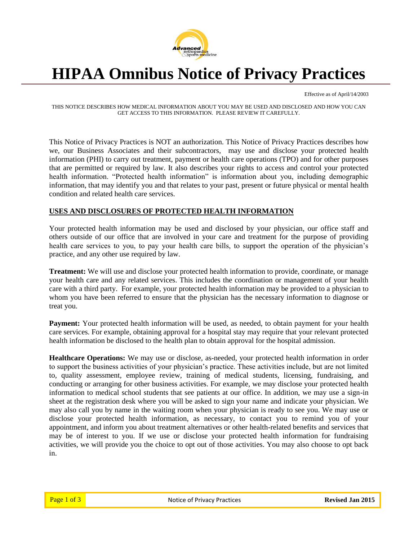

## **HIPAA Omnibus Notice of Privacy Practices**

Effective as of April/14/2003

THIS NOTICE DESCRIBES HOW MEDICAL INFORMATION ABOUT YOU MAY BE USED AND DISCLOSED AND HOW YOU CAN GET ACCESS TO THIS INFORMATION. PLEASE REVIEW IT CAREFULLY.

This Notice of Privacy Practices is NOT an authorization. This Notice of Privacy Practices describes how we, our Business Associates and their subcontractors, may use and disclose your protected health information (PHI) to carry out treatment, payment or health care operations (TPO) and for other purposes that are permitted or required by law. It also describes your rights to access and control your protected health information. "Protected health information" is information about you, including demographic information, that may identify you and that relates to your past, present or future physical or mental health condition and related health care services.

#### **USES AND DISCLOSURES OF PROTECTED HEALTH INFORMATION**

Your protected health information may be used and disclosed by your physician, our office staff and others outside of our office that are involved in your care and treatment for the purpose of providing health care services to you, to pay your health care bills, to support the operation of the physician's practice, and any other use required by law.

**Treatment:** We will use and disclose your protected health information to provide, coordinate, or manage your health care and any related services. This includes the coordination or management of your health care with a third party. For example, your protected health information may be provided to a physician to whom you have been referred to ensure that the physician has the necessary information to diagnose or treat you.

**Payment:** Your protected health information will be used, as needed, to obtain payment for your health care services. For example, obtaining approval for a hospital stay may require that your relevant protected health information be disclosed to the health plan to obtain approval for the hospital admission.

**Healthcare Operations:** We may use or disclose, as-needed, your protected health information in order to support the business activities of your physician's practice. These activities include, but are not limited to, quality assessment, employee review, training of medical students, licensing, fundraising, and conducting or arranging for other business activities. For example, we may disclose your protected health information to medical school students that see patients at our office. In addition, we may use a sign-in sheet at the registration desk where you will be asked to sign your name and indicate your physician. We may also call you by name in the waiting room when your physician is ready to see you. We may use or disclose your protected health information, as necessary, to contact you to remind you of your appointment, and inform you about treatment alternatives or other health-related benefits and services that may be of interest to you. If we use or disclose your protected health information for fundraising activities, we will provide you the choice to opt out of those activities. You may also choose to opt back in.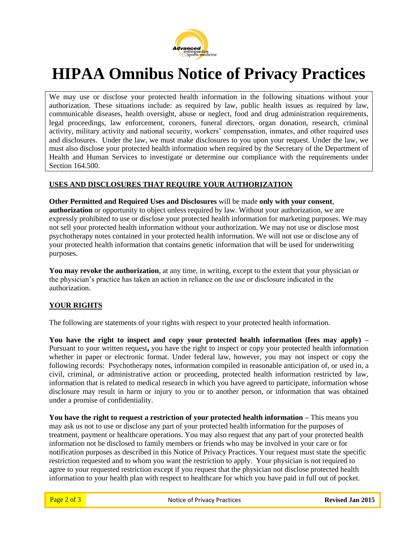

# **HIPAA Omnibus Notice of Privacy Practices**

We may use or disclose your protected health information in the following situations without your authorization. These situations include: as required by law, public health issues as required by law, communicable diseases, health oversight, abuse or neglect, food and drug administration requirements, legal proceedings, law enforcement, coroners, funeral directors, organ donation, research, criminal activity, military activity and national security, workers' compensation, inmates, and other required uses and disclosures. Under the law, we must make disclosures to you upon your request. Under the law, we must also disclose your protected health information when required by the Secretary of the Department of Health and Human Services to investigate or determine our compliance with the requirements under Section 164.500.

#### **USES AND DISCLOSURES THAT REQUIRE YOUR AUTHORIZATION**

**Other Permitted and Required Uses and Disclosures** will be made **only with your consent**, **authorization** or opportunity to object unless required by law. Without your authorization, we are expressly prohibited to use or disclose your protected health information for marketing purposes. We may not sell your protected health information without your authorization. We may not use or disclose most psychotherapy notes contained in your protected health information. We will not use or disclose any of your protected health information that contains genetic information that will be used for underwriting purposes.

**You may revoke the authorization**, at any time, in writing, except to the extent that your physician or the physician's practice has taken an action in reliance on the use or disclosure indicated in the authorization.

### **YOUR RIGHTS**

The following are statements of your rights with respect to your protected health information.

**You have the right to inspect and copy your protected health information (fees may apply) –** Pursuant to your written request**,** you have the right to inspect or copy your protected health information whether in paper or electronic format. Under federal law, however, you may not inspect or copy the following records: Psychotherapy notes, information compiled in reasonable anticipation of, or used in, a civil, criminal, or administrative action or proceeding, protected health information restricted by law, information that is related to medical research in which you have agreed to participate, information whose disclosure may result in harm or injury to you or to another person, or information that was obtained under a promise of confidentiality.

**You have the right to request a restriction of your protected health information –** This means you may ask us not to use or disclose any part of your protected health information for the purposes of treatment, payment or healthcare operations. You may also request that any part of your protected health information not be disclosed to family members or friends who may be involved in your care or for notification purposes as described in this Notice of Privacy Practices. Your request must state the specific restriction requested and to whom you want the restriction to apply. Your physician is not required to agree to your requested restriction except if you request that the physician not disclose protected health information to your health plan with respect to healthcare for which you have paid in full out of pocket.